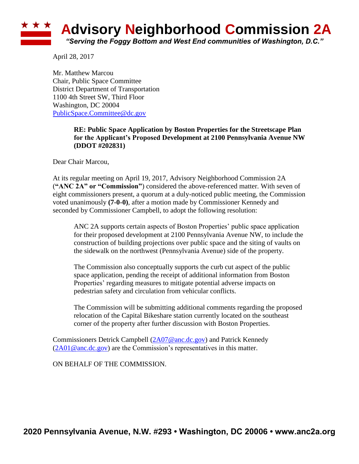## **Advisory Neighborhood Commission 2A** *"Serving the Foggy Bottom and West End communities of Washington, D.C."*

April 28, 2017

Mr. Matthew Marcou Chair, Public Space Committee District Department of Transportation 1100 4th Street SW, Third Floor Washington, DC 20004 [PublicSpace.Committee@dc.gov](mailto:PublicSpace.Committee@dc.gov)

## **RE: Public Space Application by Boston Properties for the Streetscape Plan for the Applicant's Proposed Development at 2100 Pennsylvania Avenue NW (DDOT #202831)**

Dear Chair Marcou,

At its regular meeting on April 19, 2017, Advisory Neighborhood Commission 2A (**"ANC 2A" or "Commission"**) considered the above-referenced matter. With seven of eight commissioners present, a quorum at a duly-noticed public meeting, the Commission voted unanimously **(7-0-0)**, after a motion made by Commissioner Kennedy and seconded by Commissioner Campbell, to adopt the following resolution:

ANC 2A supports certain aspects of Boston Properties' public space application for their proposed development at 2100 Pennsylvania Avenue NW, to include the construction of building projections over public space and the siting of vaults on the sidewalk on the northwest (Pennsylvania Avenue) side of the property.

The Commission also conceptually supports the curb cut aspect of the public space application, pending the receipt of additional information from Boston Properties' regarding measures to mitigate potential adverse impacts on pedestrian safety and circulation from vehicular conflicts.

The Commission will be submitting additional comments regarding the proposed relocation of the Capital Bikeshare station currently located on the southeast corner of the property after further discussion with Boston Properties.

Commissioners Detrick Campbell [\(2A07@anc.dc.gov\)](mailto:2A07@anc.dc.gov) and Patrick Kennedy  $(2A01@anc.dc.gov)$  are the Commission's representatives in this matter.

ON BEHALF OF THE COMMISSION.